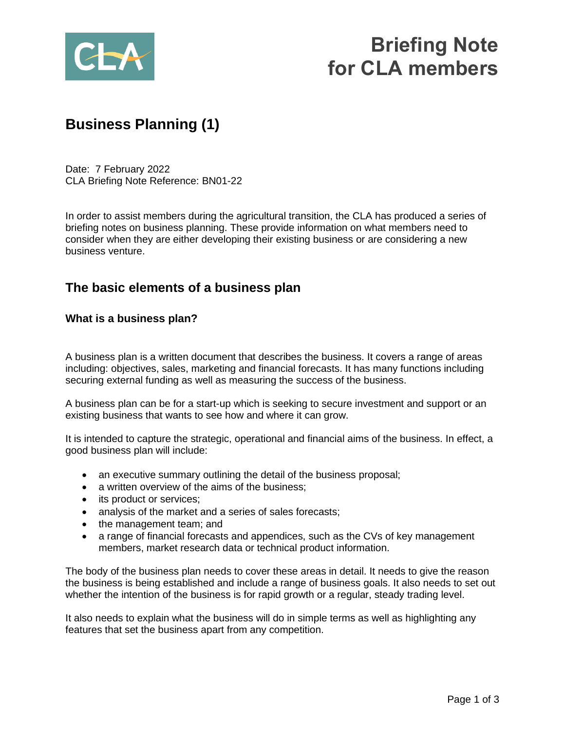

# **Briefing Note for CLA members**

## **Business Planning (1)**

Date: 7 February 2022 CLA Briefing Note Reference: BN01-22

In order to assist members during the agricultural transition, the CLA has produced a series of briefing notes on business planning. These provide information on what members need to consider when they are either developing their existing business or are considering a new business venture.

### **The basic elements of a business plan**

#### **What is a business plan?**

A business plan is a written document that describes the business. It covers a range of areas including: objectives, sales, marketing and financial forecasts. It has many functions including securing external funding as well as measuring the success of the business.

A business plan can be for a start-up which is seeking to secure investment and support or an existing business that wants to see how and where it can grow.

It is intended to capture the strategic, operational and financial aims of the business. In effect, a good business plan will include:

- an executive summary outlining the detail of the business proposal;
- a written overview of the aims of the business;
- its product or services:
- analysis of the market and a series of sales forecasts;
- the management team; and
- a range of financial forecasts and appendices, such as the CVs of key management members, market research data or technical product information.

The body of the business plan needs to cover these areas in detail. It needs to give the reason the business is being established and include a range of business goals. It also needs to set out whether the intention of the business is for rapid growth or a regular, steady trading level.

It also needs to explain what the business will do in simple terms as well as highlighting any features that set the business apart from any competition.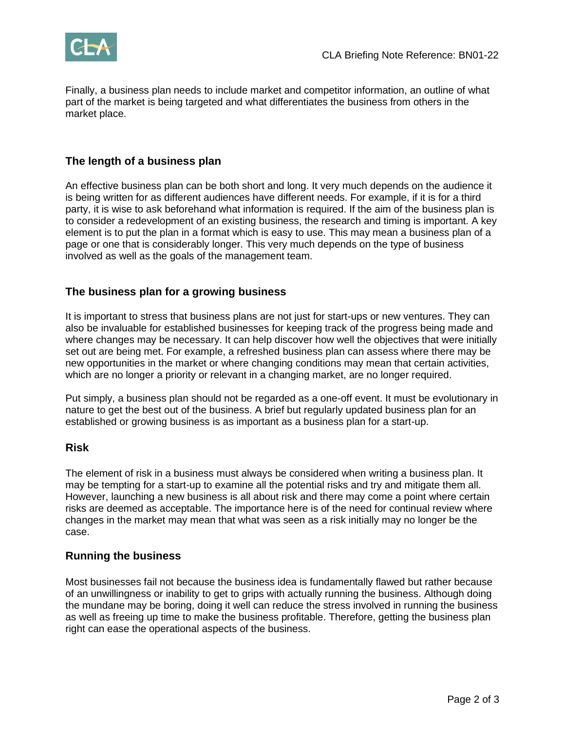

Finally, a business plan needs to include market and competitor information, an outline of what part of the market is being targeted and what differentiates the business from others in the market place.

#### **The length of a business plan**

An effective business plan can be both short and long. It very much depends on the audience it is being written for as different audiences have different needs. For example, if it is for a third party, it is wise to ask beforehand what information is required. If the aim of the business plan is to consider a redevelopment of an existing business, the research and timing is important. A key element is to put the plan in a format which is easy to use. This may mean a business plan of a page or one that is considerably longer. This very much depends on the type of business involved as well as the goals of the management team.

#### **The business plan for a growing business**

It is important to stress that business plans are not just for start-ups or new ventures. They can also be invaluable for established businesses for keeping track of the progress being made and where changes may be necessary. It can help discover how well the objectives that were initially set out are being met. For example, a refreshed business plan can assess where there may be new opportunities in the market or where changing conditions may mean that certain activities, which are no longer a priority or relevant in a changing market, are no longer required.

Put simply, a business plan should not be regarded as a one-off event. It must be evolutionary in nature to get the best out of the business. A brief but regularly updated business plan for an established or growing business is as important as a business plan for a start-up.

#### **Risk**

The element of risk in a business must always be considered when writing a business plan. It may be tempting for a start-up to examine all the potential risks and try and mitigate them all. However, launching a new business is all about risk and there may come a point where certain risks are deemed as acceptable. The importance here is of the need for continual review where changes in the market may mean that what was seen as a risk initially may no longer be the case.

#### **Running the business**

Most businesses fail not because the business idea is fundamentally flawed but rather because of an unwillingness or inability to get to grips with actually running the business. Although doing the mundane may be boring, doing it well can reduce the stress involved in running the business as well as freeing up time to make the business profitable. Therefore, getting the business plan right can ease the operational aspects of the business.